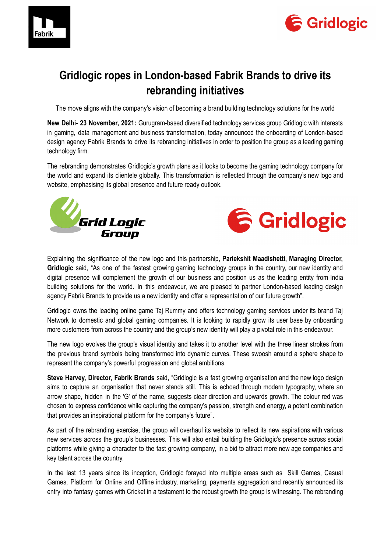



## **Gridlogic ropes in London-based Fabrik Brands to drive its rebranding initiatives**

The move aligns with the company's vision of becoming a brand building technology solutions for the world

**New Delhi- 23 November, 2021:** Gurugram-based diversified technology services group Gridlogic with interests in gaming, data management and business transformation, today announced the onboarding of London-based design agency Fabrik Brands to drive its rebranding initiatives in order to position the group as a leading gaming technology firm.

The rebranding demonstrates Gridlogic's growth plans as it looks to become the gaming technology company for the world and expand its clientele globally. This transformation is reflected through the company's new logo and website, emphasising its global presence and future ready outlook.





Explaining the significance of the new logo and this partnership, **Pariekshit Maadishetti, Managing Director, Gridlogic** said, "As one of the fastest growing gaming technology groups in the country, our new identity and digital presence will complement the growth of our business and position us as the leading entity from India building solutions for the world. In this endeavour, we are pleased to partner London-based leading design agency Fabrik Brands to provide us a new identity and offer a representation of our future growth".

Gridlogic owns the leading online game Taj Rummy and offers technology gaming services under its brand Taj Network to domestic and global gaming companies. It is looking to rapidly grow its user base by onboarding more customers from across the country and the group's new identity will play a pivotal role in this endeavour.

The new logo evolves the group's visual identity and takes it to another level with the three linear strokes from the previous brand symbols being transformed into dynamic curves. These swoosh around a sphere shape to represent the company's powerful progression and global ambitions.

**Steve Harvey, Director, Fabrik Brands** said, "Gridlogic is a fast growing organisation and the new logo design aims to capture an organisation that never stands still. This is echoed through modern typography, where an arrow shape, hidden in the 'G' of the name, suggests clear direction and upwards growth. The colour red was chosen to express confidence while capturing the company's passion, strength and energy, a potent combination that provides an inspirational platform for the company's future".

As part of the rebranding exercise, the group will overhaul its website to reflect its new aspirations with various new services across the group's businesses. This will also entail building the Gridlogic's presence across social platforms while giving a character to the fast growing company, in a bid to attract more new age companies and key talent across the country.

In the last 13 years since its inception, Gridlogic forayed into multiple areas such as Skill Games, Casual Games, Platform for Online and Offline industry, marketing, payments aggregation and recently announced its entry into fantasy games with Cricket in a testament to the robust growth the group is witnessing. The rebranding